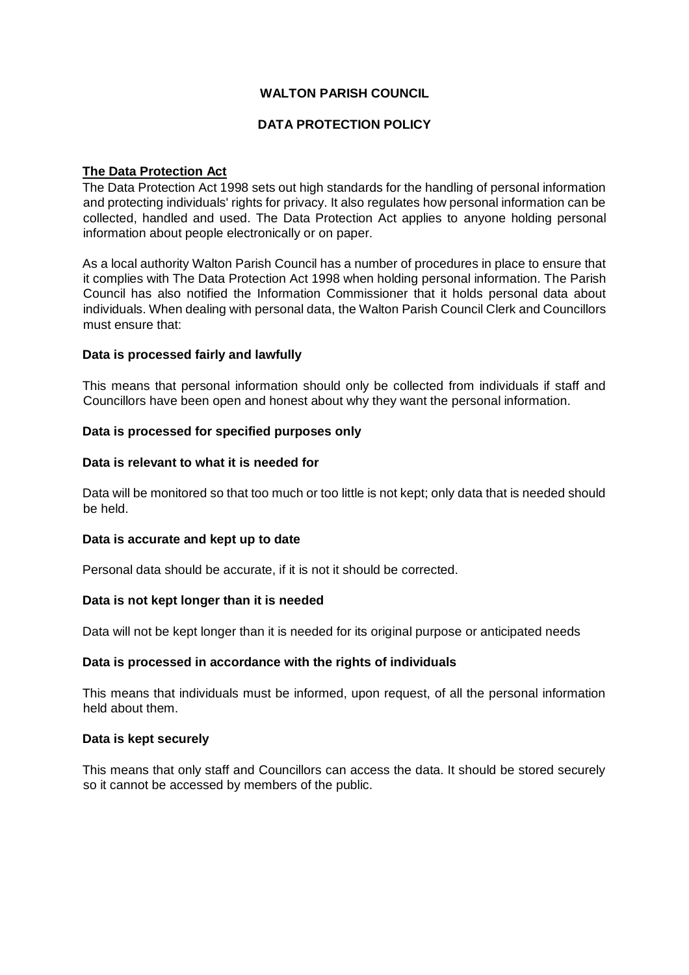## **WALTON PARISH COUNCIL**

# **DATA PROTECTION POLICY**

# **The Data Protection Act**

The Data Protection Act 1998 sets out high standards for the handling of personal information and protecting individuals' rights for privacy. It also regulates how personal information can be collected, handled and used. The Data Protection Act applies to anyone holding personal information about people electronically or on paper.

As a local authority Walton Parish Council has a number of procedures in place to ensure that it complies with The Data Protection Act 1998 when holding personal information. The Parish Council has also notified the Information Commissioner that it holds personal data about individuals. When dealing with personal data, the Walton Parish Council Clerk and Councillors must ensure that:

## **Data is processed fairly and lawfully**

This means that personal information should only be collected from individuals if staff and Councillors have been open and honest about why they want the personal information.

### **Data is processed for specified purposes only**

### **Data is relevant to what it is needed for**

Data will be monitored so that too much or too little is not kept; only data that is needed should be held.

## **Data is accurate and kept up to date**

Personal data should be accurate, if it is not it should be corrected.

#### **Data is not kept longer than it is needed**

Data will not be kept longer than it is needed for its original purpose or anticipated needs

## **Data is processed in accordance with the rights of individuals**

This means that individuals must be informed, upon request, of all the personal information held about them.

#### **Data is kept securely**

This means that only staff and Councillors can access the data. It should be stored securely so it cannot be accessed by members of the public.